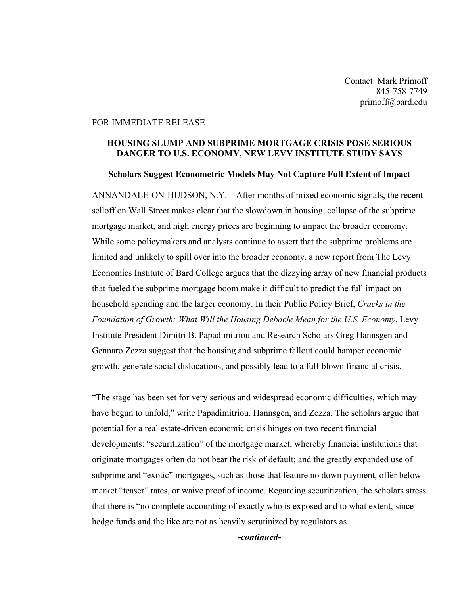Contact: Mark Primoff 845-758-7749 primoff@bard.edu

## FOR IMMEDIATE RELEASE

## HOUSING SLUMP AND SUBPRIME MORTGAGE CRISIS POSE SERIOUS DANGER TO U.S. ECONOMY, NEW LEVY INSTITUTE STUDY SAYS

## Scholars Suggest Econometric Models May Not Capture Full Extent of Impact

ANNANDALE-ON-HUDSON, N.Y.—After months of mixed economic signals, the recent selloff on Wall Street makes clear that the slowdown in housing, collapse of the subprime mortgage market, and high energy prices are beginning to impact the broader economy. While some policymakers and analysts continue to assert that the subprime problems are limited and unlikely to spill over into the broader economy, a new report from The Levy Economics Institute of Bard College argues that the dizzying array of new financial products that fueled the subprime mortgage boom make it difficult to predict the full impact on household spending and the larger economy. In their Public Policy Brief, *Cracks in the Foundation of Growth: What Will the Housing Debacle Mean for the U.S. Economy*, Levy Institute President Dimitri B. Papadimitriou and Research Scholars Greg Hannsgen and Gennaro Zezza suggest that the housing and subprime fallout could hamper economic growth, generate social dislocations, and possibly lead to a full-blown financial crisis.

"The stage has been set for very serious and widespread economic difficulties, which may have begun to unfold," write Papadimitriou, Hannsgen, and Zezza. The scholars argue that potential for a real estate-driven economic crisis hinges on two recent financial developments: "securitization" of the mortgage market, whereby financial institutions that originate mortgages often do not bear the risk of default; and the greatly expanded use of subprime and "exotic" mortgages, such as those that feature no down payment, offer belowmarket "teaser" rates, or waive proof of income. Regarding securitization, the scholars stress that there is "no complete accounting of exactly who is exposed and to what extent, since hedge funds and the like are not as heavily scrutinized by regulators as

*-continued-*